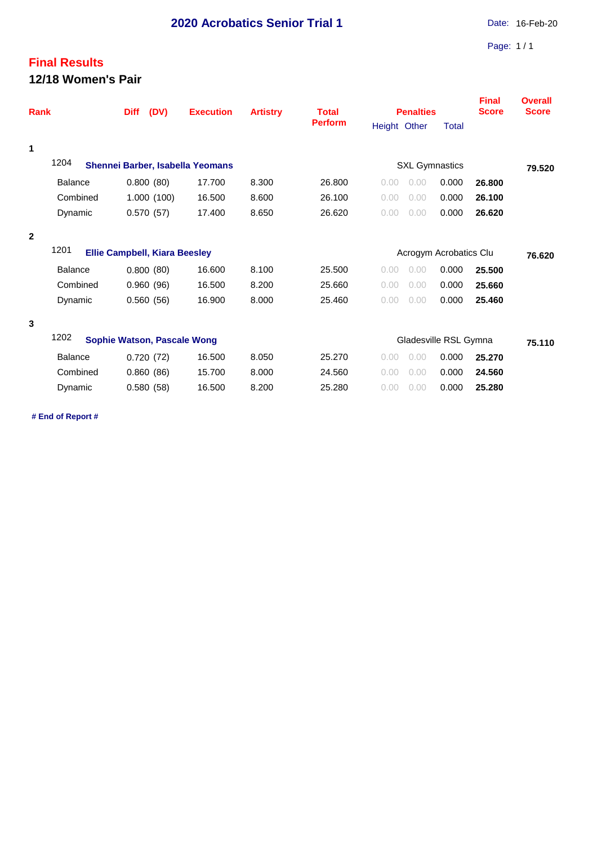## **Final Results 12/18 Women's Pair**

| <b>Rank</b>    |                                                                   | (DV)<br><b>Diff</b>                  | <b>Execution</b> | <b>Artistry</b> | <b>Total</b><br><b>Perform</b> | <b>Penalties</b>       |        | Final<br><b>Score</b> | <b>Overall</b><br><b>Score</b> |
|----------------|-------------------------------------------------------------------|--------------------------------------|------------------|-----------------|--------------------------------|------------------------|--------|-----------------------|--------------------------------|
|                |                                                                   |                                      |                  |                 |                                | Height Other           | Total  |                       |                                |
| 1              |                                                                   |                                      |                  |                 |                                |                        |        |                       |                                |
|                | 1204<br><b>SXL Gymnastics</b><br>Shennei Barber, Isabella Yeomans |                                      |                  |                 |                                |                        |        |                       | 79.520                         |
|                | <b>Balance</b>                                                    | 0.800(80)                            | 17.700           | 8.300           | 26.800                         | 0.00<br>0.00           | 0.000  | 26,800                |                                |
|                | Combined                                                          | 1.000(100)                           | 16.500           | 8.600           | 26.100                         | 0.00<br>0.00           | 0.000  | 26.100                |                                |
|                | Dynamic                                                           | 0.570(57)                            | 17.400           | 8.650           | 26.620                         | 0.00<br>0.00           | 0.000  | 26.620                |                                |
| $\overline{2}$ |                                                                   |                                      |                  |                 |                                |                        |        |                       |                                |
|                | 1201                                                              | <b>Ellie Campbell, Kiara Beesley</b> |                  |                 |                                | Acrogym Acrobatics Clu | 76.620 |                       |                                |
|                | <b>Balance</b>                                                    | 0.800(80)                            | 16.600           | 8.100           | 25.500                         | 0.00<br>0.00           | 0.000  | 25,500                |                                |
|                | Combined                                                          | 0.960(96)                            | 16.500           | 8.200           | 25.660                         | 0.00<br>0.00           | 0.000  | 25.660                |                                |
|                | Dynamic                                                           | 0.560(56)                            | 16.900           | 8.000           | 25.460                         | 0.00<br>0.00           | 0.000  | 25.460                |                                |
| 3              |                                                                   |                                      |                  |                 |                                |                        |        |                       |                                |
|                | 1202<br>Gladesville RSL Gymna<br>Sophie Watson, Pascale Wong      |                                      |                  |                 |                                |                        |        |                       | 75.110                         |
|                | <b>Balance</b>                                                    | 0.720(72)                            | 16.500           | 8.050           | 25.270                         | 0.00<br>0.00           | 0.000  | 25.270                |                                |
|                | Combined                                                          | 0.860(86)                            | 15.700           | 8.000           | 24.560                         | 0.00<br>0.00           | 0.000  | 24.560                |                                |
|                | Dynamic                                                           | 0.580(58)                            | 16.500           | 8.200           | 25.280                         | 0.00<br>0.00           | 0.000  | 25.280                |                                |

**# End of Report #**